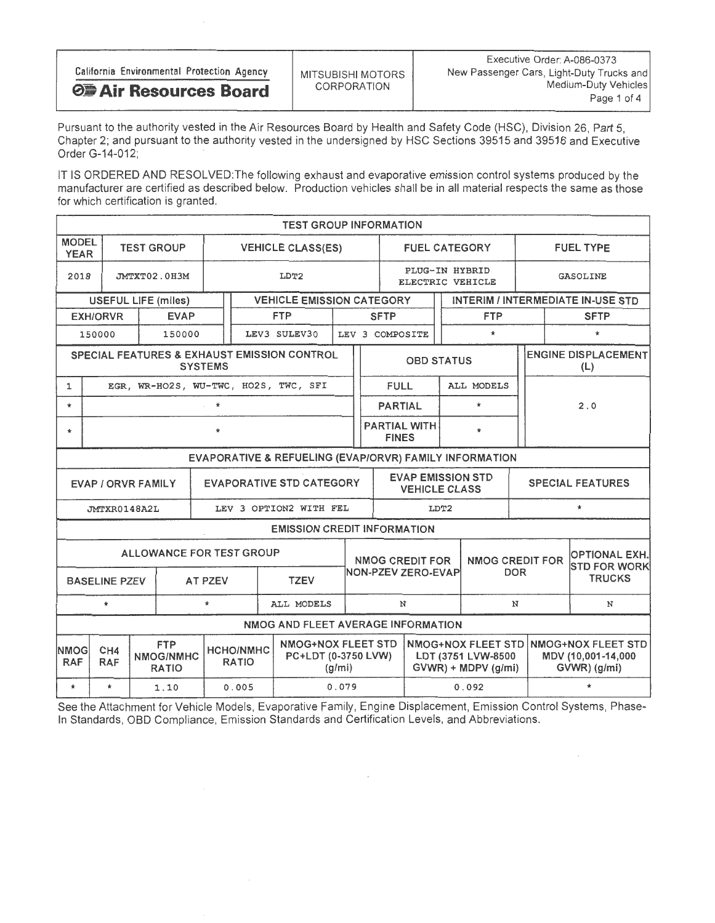| California Environmental Protection Agency | MITSUBISHI MOTORS | Executive Order: A-086-0373<br>New Passenger Cars, Light-Duty Trucks and |
|--------------------------------------------|-------------------|--------------------------------------------------------------------------|
| <b>⊘■ Air Resources Board</b>              | CORPORATION       | Medium-Duty Vehicles                                                     |
|                                            |                   | Page 1 of 4                                                              |

Pursuant to the authority vested in the Air Resources Board by Health and Safety Code (HSC), Division 26, Part 5, Chapter 2; and pursuant to the authority vested in the undersigned by HSC Sections 39515 and 39516 and Executive Order G-14-012;

IT IS ORDERED AND RESOLVED: The following exhaust and evaporative emission control systems produced by the manufacturer are certified as described below. Production vehicles shall be in all material respects the same as those for which certification is granted.

|                                                                | <b>TEST GROUP INFORMATION</b>                                                                                                                                              |  |                                      |                |                          |                                    |                                    |                   |                                                                             |                                                                           |                                       |                                   |                                                          |                                      |                  |  |                                             |
|----------------------------------------------------------------|----------------------------------------------------------------------------------------------------------------------------------------------------------------------------|--|--------------------------------------|----------------|--------------------------|------------------------------------|------------------------------------|-------------------|-----------------------------------------------------------------------------|---------------------------------------------------------------------------|---------------------------------------|-----------------------------------|----------------------------------------------------------|--------------------------------------|------------------|--|---------------------------------------------|
| <b>MODEL</b><br><b>YEAR</b>                                    |                                                                                                                                                                            |  | <b>TEST GROUP</b>                    |                | <b>VEHICLE CLASS(ES)</b> |                                    |                                    |                   |                                                                             |                                                                           | <b>FUEL CATEGORY</b>                  |                                   |                                                          |                                      | <b>FUEL TYPE</b> |  |                                             |
| 2018                                                           |                                                                                                                                                                            |  | JMTXT02.0H3M                         | LDT2           |                          |                                    |                                    |                   |                                                                             | PLUG-IN HYBRID<br>ELECTRIC VEHICLE                                        |                                       |                                   |                                                          | GASOLINE                             |                  |  |                                             |
| <b>VEHICLE EMISSION CATEGORY</b><br><b>USEFUL LIFE (miles)</b> |                                                                                                                                                                            |  |                                      |                |                          |                                    |                                    |                   |                                                                             |                                                                           |                                       |                                   |                                                          | INTERIM / INTERMEDIATE IN-USE STD    |                  |  |                                             |
|                                                                | <b>EXH/ORVR</b>                                                                                                                                                            |  | <b>EVAP</b>                          |                |                          | <b>FTP</b>                         |                                    |                   |                                                                             | <b>SFTP</b>                                                               |                                       |                                   | <b>FTP</b>                                               |                                      | <b>SFTP</b>      |  |                                             |
|                                                                | 150000                                                                                                                                                                     |  | 150000                               |                |                          | LEV3 SULEV30                       |                                    |                   |                                                                             | LEV 3 COMPOSITE                                                           |                                       |                                   | $\star$                                                  |                                      |                  |  | $\star$                                     |
| SPECIAL FEATURES & EXHAUST EMISSION CONTROL<br><b>SYSTEMS</b>  |                                                                                                                                                                            |  |                                      |                |                          |                                    |                                    | <b>OBD STATUS</b> |                                                                             |                                                                           |                                       | <b>ENGINE DISPLACEMENT</b><br>(L) |                                                          |                                      |                  |  |                                             |
| $\mathbf{1}$                                                   |                                                                                                                                                                            |  | EGR, WR-HO2S, WU-TWC, HO2S, TWC, SFI |                |                          |                                    |                                    |                   |                                                                             | <b>FULL</b>                                                               |                                       |                                   | ALL MODELS                                               |                                      |                  |  |                                             |
| $\star$                                                        | $\star$                                                                                                                                                                    |  |                                      |                |                          |                                    |                                    |                   |                                                                             | <b>PARTIAL</b>                                                            |                                       |                                   | $\star$                                                  |                                      |                  |  | 2.0                                         |
| $\ast$                                                         | $\star$                                                                                                                                                                    |  |                                      |                |                          |                                    |                                    |                   |                                                                             | <b>PARTIAL WITH</b><br><b>FINES</b>                                       |                                       | $\mathbf{r}$                      |                                                          |                                      |                  |  |                                             |
| EVAPORATIVE & REFUELING (EVAP/ORVR) FAMILY INFORMATION         |                                                                                                                                                                            |  |                                      |                |                          |                                    |                                    |                   |                                                                             |                                                                           |                                       |                                   |                                                          |                                      |                  |  |                                             |
|                                                                | <b>EVAP / ORVR FAMILY</b>                                                                                                                                                  |  |                                      |                |                          | <b>EVAPORATIVE STD CATEGORY</b>    |                                    |                   | <b>EVAP EMISSION STD</b><br><b>SPECIAL FEATURES</b><br><b>VEHICLE CLASS</b> |                                                                           |                                       |                                   |                                                          |                                      |                  |  |                                             |
|                                                                | JMTXR0148A2L                                                                                                                                                               |  |                                      |                |                          | LEV 3 OPTION2 WITH FEL             |                                    |                   | LDT2                                                                        |                                                                           |                                       | $\star$                           |                                                          |                                      |                  |  |                                             |
|                                                                |                                                                                                                                                                            |  |                                      |                |                          |                                    | <b>EMISSION CREDIT INFORMATION</b> |                   |                                                                             |                                                                           |                                       |                                   |                                                          |                                      |                  |  |                                             |
|                                                                |                                                                                                                                                                            |  | ALLOWANCE FOR TEST GROUP             |                |                          |                                    |                                    |                   |                                                                             |                                                                           | NMOG CREDIT FOR<br>NON-PZEV ZERO-EVAP |                                   |                                                          | <b>NMOG CREDIT FOR</b><br><b>DOR</b> |                  |  | <b>OPTIONAL EXH.</b><br><b>STD FOR WORK</b> |
|                                                                | <b>BASELINE PZEV</b>                                                                                                                                                       |  |                                      | <b>AT PZEV</b> |                          |                                    | <b>TZEV</b>                        |                   |                                                                             |                                                                           |                                       |                                   |                                                          |                                      |                  |  | <b>TRUCKS</b>                               |
|                                                                | $\star$                                                                                                                                                                    |  |                                      | $\star$        |                          |                                    | ALL MODELS                         |                   |                                                                             | N                                                                         |                                       |                                   |                                                          | N                                    |                  |  | N                                           |
|                                                                |                                                                                                                                                                            |  |                                      |                |                          | NMOG AND FLEET AVERAGE INFORMATION |                                    |                   |                                                                             |                                                                           |                                       |                                   |                                                          |                                      |                  |  |                                             |
| <b>NMOGI</b><br><b>RAF</b>                                     | <b>NMOG+NOX FLEET STD</b><br><b>FTP</b><br>CH <sub>4</sub><br><b>HCHO/NMHC</b><br>PC+LDT (0-3750 LVW)<br>NMOG/NMHC<br><b>RAF</b><br><b>RATIO</b><br><b>RATIO</b><br>(g/mi) |  |                                      |                |                          |                                    |                                    |                   |                                                                             | <b>NMOG+NOX FLEET STD</b><br>LDT (3751 LVW-8500<br>$GVWR$ ) + MDPV (g/mi) |                                       |                                   | NMOG+NOX FLEET STD<br>MDV (10,001-14,000<br>GVWR) (g/mi) |                                      |                  |  |                                             |
| $\star$                                                        | $\star$                                                                                                                                                                    |  | 1.10                                 |                | 0.005                    |                                    |                                    | 0.079             |                                                                             |                                                                           | 0.092                                 |                                   |                                                          |                                      | $\star$          |  |                                             |

See the Attachment for Vehicle Models, Evaporative Family, Engine Displacement, Emission Control Systems, Phase-In Standards, OBD Compliance, Emission Standards and Certification Levels, and Abbreviations.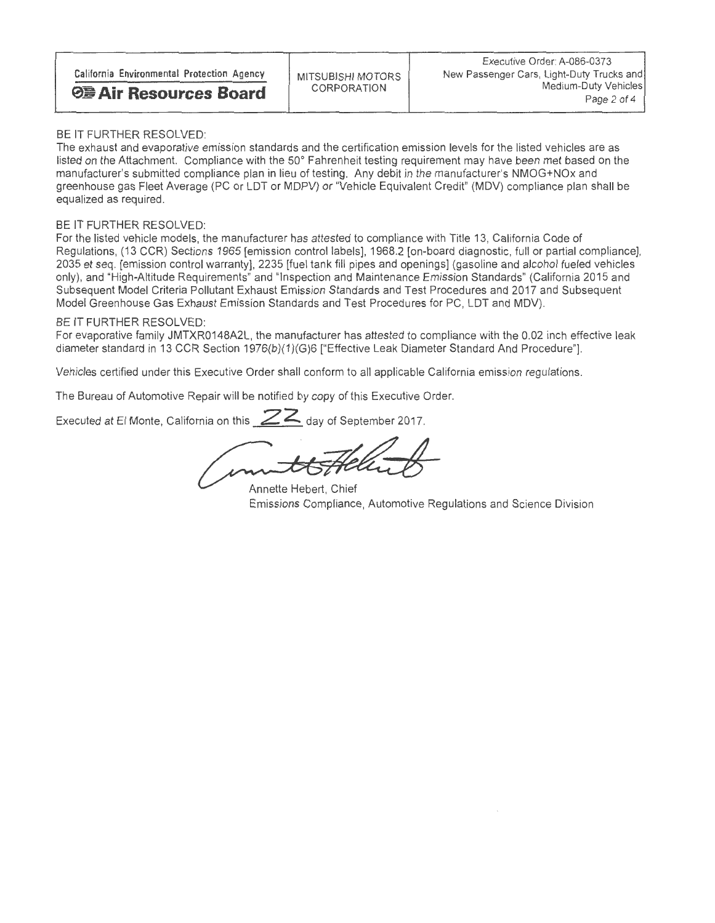### BE IT FURTHER RESOLVED:

The exhaust and evaporative emission standards and the certification emission levels for the listed vehicles are as listed on the Attachment. Compliance with the 50° Fahrenheit testing requirement may have been met based on the<br>manufacturer's submitted compliance plan in lieu of testing. Any debit in the manufacturer's NMOG+NOx and manufacturer's submitted compliance plan in lieu of testing. Any debit in the manufacturer's NMOG+NOx and greenhouse gas Fleet Average (PC or LDT or MDPV) or "Vehicle Equivalent Credit" (MDV) compliance plan shall be equalized as required

### BE IT FURTHER RESOLVED:

For the listed vehicle models, the manufacturer has attested to compliance with Title 13, California Code of Regulations, (13 CCR) Sections 1965 [emission control labels], 1968.2 [on-board diagnostic, full or partial compliance], 2035 et seq. [emission control warranty], 2235 [fuel tank fill pipes and openings] (gasoline and alco 2035 et seq. [emission control warranty], 2235 [fuel tank fill pipes and openings] (gasoline and alcohol fueled vehicles only), and "High-Altitude Requirements" and "Inspection and Maintenance Emission Standards" (California 2015 and Subsequent Model Criteria Pollutant Exhaust Emission Standards and Test Procedures and 2017 and Subsequent Model Greenhouse Gas Exhaust Emission Standards and Test Procedures for PC, LDT and MDV).

#### BE IT FURTHER RESOLVED:

For evaporative family JMTXR0148A2L, the manufacturer has attested to compliance with the 0.02 inch effective leak diameter standard in 13 CCR Section 1976(b)(1)(G)6 ["Effective Leak Diameter Standard And Procedure"].

Vehicles certified under this Executive Order shall conform to all applicable California emission regulations.

The Bureau of Automotive Repair will be notified by copy of this Executive Order.

Executed at El Monte, California on this  $ZZ$  day of September 2017.

Annette Hebert, Chief Emissions Compliance, Automotive Regulations and Science Division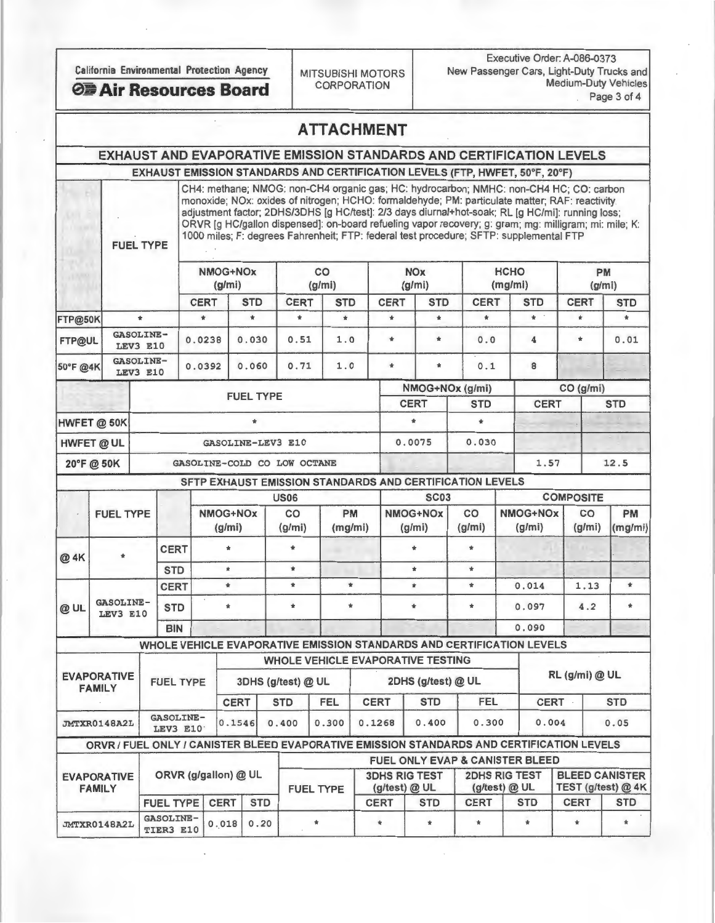FUEL TYPE

Executive Order: A-086-0373 California Environmental Protection Agency<br>CORPORATION MEDITION Medium-Duty Vehicles **CORPORATION Medium-Duty Vehicles** Air Resources Board CORPORATION Medium-Duty Vehicles

|  |  |  | <b>ATTACHMENT</b> |  |
|--|--|--|-------------------|--|
|  |  |  |                   |  |

# EXHAUST AND EVAPORATIVE EMISSION STANDARDS AND CERTIFICATION LEVELS

EXHAUST EMISSION STANDARDS AND CERTIFICATION LEVELS (FTP, HWFET, 50°F, 20°F)

CH4: methane; NMOG: non-CH4 organic gas; HC: hydrocarbon; NMHC: non-CH4 HC; CO: carbon monoxide; NOx: oxides of nitrogen; HCHO: formaldehyde; PM: particulate matter; RAF: reactivity adjustment factor; 2DHS/3DHS [g HC/test]: 2/3 days diurnal+hot-soak; RL [g HC/mi]: running loss; ORVR [g HC/gallon dispensed]: on-board refueling vapor recovery; g: gram; mg: milligram; mi: mile; K: 1000 miles; F: degrees Fahrenheit; FTP: federal test procedure; SFTP: supplemental FTP

|               |  |                       |                             | NMOG+NOx<br>(g/mi) |             | co<br>(g/mi) |             | <b>NOx</b><br>(g/mi) |             | <b>HCHO</b><br>(mg/mi) |             | <b>PM</b><br>(g/mi) |
|---------------|--|-----------------------|-----------------------------|--------------------|-------------|--------------|-------------|----------------------|-------------|------------------------|-------------|---------------------|
|               |  |                       | <b>CERT</b>                 | <b>STD</b>         | <b>CERT</b> | <b>STD</b>   | <b>CERT</b> | <b>STD</b>           | <b>CERT</b> | <b>STD</b>             | <b>CERT</b> | <b>STD</b>          |
| FTP@50K       |  | ٠                     | $\star$                     | $\star$            | $\ast$      | $\ast$       | $\star$     | $\bullet$            | $\star$     | $*$                    | $\star$     | $\star$             |
| <b>FTP@UL</b> |  | GASOLINE-<br>LEV3 E10 | 0.0238                      | 0.030              | 0.51        | 1.0          | $\pm$       | $\star$              | 0.0         | 4                      | $\ast$      | 0.01                |
| 50°F @4K      |  | GASOLINE-<br>LEV3 E10 | 0.0392                      | 0.060              | 0.71        | 1.0          | $\bullet$   | $\star$              | 0.1         | 8                      |             |                     |
|               |  |                       |                             |                    |             |              |             | NMOG+NOx (g/mi)      |             | CO (g/mi)              |             |                     |
|               |  |                       |                             | <b>FUEL TYPE</b>   |             |              | <b>CERT</b> |                      | <b>STD</b>  | <b>CERT</b>            |             | <b>STD</b>          |
| HWFET @ 50K   |  |                       |                             | $\ast$             |             |              |             |                      | $\bullet$   |                        |             |                     |
| HWFET @ UL    |  |                       | GASOLINE-LEV3 E10           |                    |             | 0.0075       |             | 0.030                |             |                        |             |                     |
| 20°F@50K      |  |                       | GASOLINE-COLD CO LOW OCTANE |                    |             |              |             |                      |             | 1.57                   |             | 12.5                |

#### SFTP EXHAUST EMISSION STANDARDS AND CERTIFICATION LEVELS

|        |                                     |            |                              |                          | <b>US06</b>                          |            |             | <b>SC03</b>                              |              |                                                                                           | <b>COMPOSITE</b>      |                      |  |
|--------|-------------------------------------|------------|------------------------------|--------------------------|--------------------------------------|------------|-------------|------------------------------------------|--------------|-------------------------------------------------------------------------------------------|-----------------------|----------------------|--|
|        | <b>FUEL TYPE</b>                    |            |                              | NMOG+NOx<br>(g/mi)       | <b>PM</b><br>co<br>(mg/mi)<br>(g/mi) |            |             | NMOG+NOx<br>(g/mi)                       | co<br>(g/m)  | NMOG+NOx<br>(g/mi)                                                                        | CO<br>(g/mi)          | <b>PM</b><br>(mg/mi) |  |
| @ 4K   |                                     |            | <b>CERT</b>                  |                          |                                      |            |             |                                          |              |                                                                                           |                       |                      |  |
|        |                                     | <b>STD</b> | $\star$                      | $\star$                  |                                      |            | $\star$     | $\ast$                                   |              |                                                                                           |                       |                      |  |
|        |                                     |            | <b>CERT</b>                  | $\star$                  | $\ast$                               |            | $\ast$      | $\ast$                                   | $\pmb{\ast}$ | 0.014                                                                                     | 1.13                  | $\ast$               |  |
| $Q$ UL | <b>GASOLINE-</b><br>LEV3 E10        |            | <b>STD</b>                   |                          |                                      |            | $\star$     | $\star$                                  | $\star$      | 0.097                                                                                     | 4.2                   | $\star$              |  |
|        |                                     |            | <b>BIN</b>                   |                          |                                      |            |             |                                          |              | 0.090                                                                                     |                       |                      |  |
|        |                                     |            |                              |                          |                                      |            |             |                                          |              | WHOLE VEHICLE EVAPORATIVE EMISSION STANDARDS AND CERTIFICATION LEVELS                     |                       |                      |  |
|        |                                     |            |                              |                          |                                      |            |             | <b>WHOLE VEHICLE EVAPORATIVE TESTING</b> |              |                                                                                           |                       |                      |  |
|        | <b>EVAPORATIVE</b><br><b>FAMILY</b> |            | <b>FUEL TYPE</b>             |                          | 3DHS (g/test) @ UL                   |            |             | 2DHS (g/test) @ UL                       |              |                                                                                           | RL (g/mi) @ UL        |                      |  |
|        |                                     |            |                              | <b>CERT</b>              | <b>STD</b>                           | <b>FEL</b> | <b>CERT</b> | <b>STD</b>                               | <b>FEL</b>   | <b>CERT</b>                                                                               |                       | <b>STD</b>           |  |
|        | JMTXR0148A2L                        |            | <b>GASOLINE-</b><br>LEV3 E10 | 0.1546                   | 0.400                                | 0.300      | 0.1268      | 0.400                                    | 0.300        | 0.004                                                                                     |                       | 0.05                 |  |
|        |                                     |            |                              |                          |                                      |            |             |                                          |              | ORVR / FUEL ONLY / CANISTER BLEED EVAPORATIVE EMISSION STANDARDS AND CERTIFICATION LEVELS |                       |                      |  |
|        |                                     |            |                              |                          |                                      |            |             |                                          |              | <b>FUEL ONLY EVAP &amp; CANISTER BLEED</b>                                                |                       |                      |  |
|        | <b>EVADODATIVE</b>                  |            |                              | $ORVR$ (g/gallon) $@$ UL |                                      |            |             |                                          |              | 3DHS RIG TEST   2DHS RIG TEST                                                             | <b>BLEED CANISTER</b> |                      |  |

| <b>EVAPORATIVE</b><br><b>FAMILY</b> | ORVR (g/gallon) @ UL |  |  | <b>FUEL TYPE</b> | <b>3DHS RIG TEST</b><br>$(q$ /test $)$ @ UL |            | $(g$ /test $)$ @ UL | <b>2DHS RIG TEST</b> | <b>BLEED CANISTER</b><br>TEST (g/test) @ 4K |            |
|-------------------------------------|----------------------|--|--|------------------|---------------------------------------------|------------|---------------------|----------------------|---------------------------------------------|------------|
|                                     | FUEL TYPE CERT STD   |  |  |                  | <b>CERT</b>                                 | <b>STD</b> | <b>CERT</b>         | <b>STD</b>           | <b>CERT</b>                                 | <b>STD</b> |
| JMTXR0148A2L GASOLINE- 0.018 0.20   |                      |  |  |                  |                                             |            |                     |                      |                                             |            |